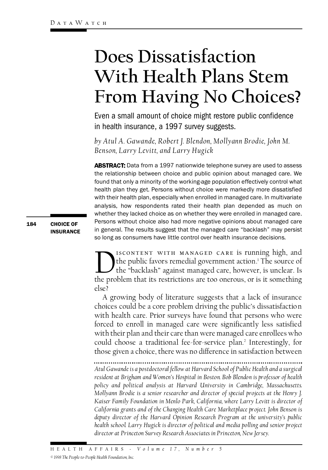# **Does Dissatisfaction With Health Plans Stem From Having No Choices?**

Even a small amount of choice might restore public confidence in health insurance, a 1997 survey suggests.

*by Atul A. Gawande, Robert J. Blendon, Mollyann Brodie, John M. Benson, Larry Levitt, and Larry Hugick*

**ABSTRACT:** Data from a 1997 nationwide telephone survey are used to assess the relationship between choice and public opinion about managed care. We found that only a minority of the working-age population effectively control what health plan they get. Persons without choice were markedly more dissatisfied with their health plan, especially when enrolled in managed care. In multivariate analysis, how respondents rated their health plan depended as much on whether they lacked choice as on whether they were enrolled in managed care. Persons without choice also had more negative opinions about managed care in general. The results suggest that the managed care "backlash" may persist so long as consumers have little control over health insurance decisions.

**D**<br>the public favors reme<br>the moblem that its restriction is content with managed care is running high, and the public favors remedial government action. <sup>1</sup> The source of the "backlash" against managed care, however, is unclear. Is the problem that its restrictions are too onerous, or is it something else?

A growing body of literature suggests that a lack of insurance choices could be a core problem driving the public's dissatisfaction with health care. Prior surveys have found that persons who were forced to enroll in managed care were significantly less satisfied with their plan and their care than were managed care enrollees who could choose a traditional fee-for-service plan.<sup>2</sup> Interestingly, for those given a choice, there was no difference in satisfaction between

*Atul Gawandeis a postdoctoral fellow atHarvard School of Public Health and a surgical resident at Brigham and Women's Hospital in Boston. Bob Blendon is professor of health policy and political analysis at Harvard University in Cambridge, Massachusetts. Mollyann Brodie is a senior researcher and director of special projects at the Henry J. Kaiser Family Foundation in Menlo Park, California, where Larry Levitt is director of California grants and of the Changing Health Care Marketplace project. John Benson is deputy director of the Harvard Opinion Research Program atthe university's public health school. Larry Hugick is director of political and media polling and senior project director at Princeton Survey Research Associates in Princeton, New Jersey.*

184 CHOICE OF

INSURANCE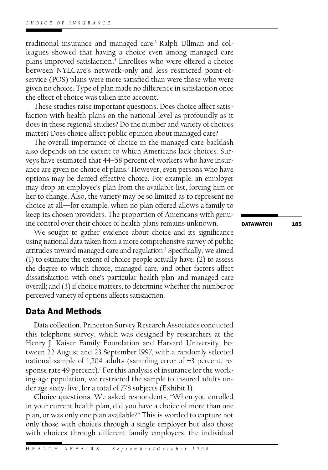traditional insurance and managed care.<sup>3</sup> Ralph Ullman and colleagues showed that having a choice even among managed care plans improved satisfaction.<sup>4</sup> Enrollees who were offered a choice between NYLCare's network-only and less restricted point-of service (POS) plans were more satisfied than were those who were given no choice. Type of plan made no difference in satisfaction once the effect of choice was taken into account.

These studies raise important questions. Does choice affect satisfaction with health plans on the national level as profoundly as it does in these regional studies? Do the number and variety of choices matter? Does choice affect public opinion about managed care?

The overall importance of choice in the managed care backlash also depends on the extent to which Americans lack choices. Sur veys have estimated that 44–58 percent of workers who have insur ance are given no choice of plans.<sup>5</sup> However, even persons who have options may be denied effective choice. For example, an employer may drop an employee's plan from the available list, forcing him or her to change. Also, the variety may be so limited as to represent no choice at all—for example, when no plan offered allows a family to keep its chosen providers. The proportion of Americans with genuine control over their choice of health plans remains unknown.

We sought to gather evidence about choice and its significance using national data taken from a more comprehensive survey of public attitudes toward managed care and regulation.<sup>6</sup> Specifically, we aimed (1) to estimate the extent of choice people actually have; (2) to assess the degree to which choice, managed care, and other factors affect dissatisfaction with one's particular health plan and managed care overall; and (3)if choice matters, to determine whether the number or perceived variety of options affects satisfaction.

### Data And Methods

Data collection. Princeton Survey Research Associates conducted this telephone survey, which was designed by researchers at the Henry J. Kaiser Family Foundation and Harvard University, between 22 August and 23 September 1997, with a randomly selected national sample of 1,204 adults (sampling error of ±3 percent, re sponse rate 49 percent).<sup>7</sup> For this analysis of insurance for the working-age population, we restricted the sample to insured adults un der age sixty-five, for a total of 778 subjects (Exhibit 1).

**Choice questions.** We asked respondents, "When you enrolled in your current health plan, did you have a choice of more than one plan, or was only one plan available?" This is worded to capture not only those with choices through a single employer but also those with choices through different family employers, the individual

H E A L T H A F F A I R S ~ *S e p t e m b e r / O ct o b e r 1 9 9 8*

DATAWATCH 185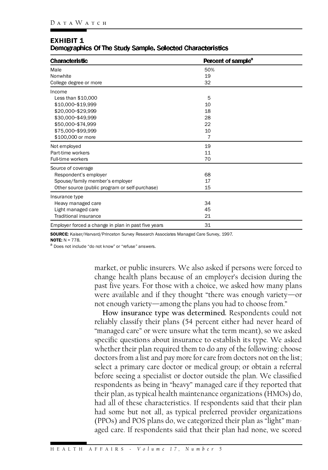| <b>EXHIBIT 1</b>                                           |  |  |
|------------------------------------------------------------|--|--|
| Demographics Of The Study Sample, Selected Characteristics |  |  |

| <b>Characteristic</b>                               | Percent of sample <sup>a</sup> |  |
|-----------------------------------------------------|--------------------------------|--|
| Male                                                | 50%                            |  |
| Nonwhite                                            | 19                             |  |
| College degree or more                              | 32                             |  |
| Income                                              |                                |  |
| Less than \$10,000                                  | 5                              |  |
| \$10,000-\$19,999                                   | 10                             |  |
| \$20,000-\$29,999                                   | 18                             |  |
| \$30,000-\$49,999                                   | 28                             |  |
| \$50,000-\$74,999                                   | 22                             |  |
| \$75,000-\$99,999                                   | 10                             |  |
| \$100,000 or more                                   | $\overline{7}$                 |  |
| Not employed                                        | 19                             |  |
| Part-time workers                                   | 11                             |  |
| Full-time workers                                   | 70                             |  |
| Source of coverage                                  |                                |  |
| Respondent's employer                               | 68                             |  |
| Spouse/family member's employer                     | 17                             |  |
| Other source (public program or self-purchase)      | 15                             |  |
| Insurance type                                      |                                |  |
| Heavy managed care                                  | 34                             |  |
| Light managed care                                  | 45                             |  |
| Traditional insurance                               | 21                             |  |
| Employer forced a change in plan in past five years | 31                             |  |

SOURCE: Kaiser/Harvard/Princeton Survey Research Associates Managed Care Survey, 1997.

**NOTE:**  $N = 778$ .<br><sup>a</sup> Does not include "do not know" or "refuse" answers.

market, or public insurers. We also asked if persons were forced to change health plans because of an employer's decision during the past five years. For those with a choice, we asked how many plans were available and if they thought "there was enough variety—or not enough variety—among the plans you had to choose from."

**How insurance type was determined.** Respondents could not reliably classify their plans (54 percent either had never heard of "managed care" or were unsure what the term meant), so we asked specific questions about insurance to establish its type. We asked whether their plan required them to do any of the following: choose doctors from a list and pay more for care from doctors not on the list; select a primary care doctor or medical group; or obtain a referral before seeing a specialist or doctor outside the plan. We classified respondents as being in "heavy" managed care if they reported that their plan, as typical health maintenance organizations (HMOs) do, had all of these characteristics. If respondents said that their plan had some but not all, as typical preferred provider organizations (PPOs) and POS plans do, we categorized their plan as "light" man aged care. If respondents said that their plan had none, we scored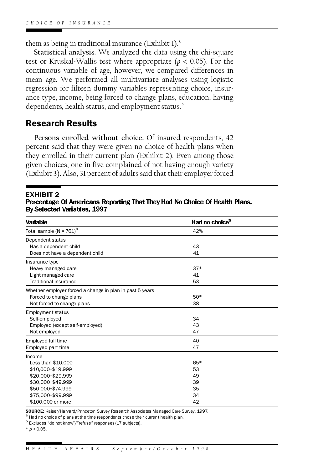them as being in traditional insurance (Exhibit 1). $\delta$ 

**Statistical analysis.** We analyzed the data using the chi-square test or Kruskal-Wallis test where appropriate ( $p < 0.05$ ). For the continuous variable of age, however, we compared differences in mean age. We performed all multivariate analyses using logistic regression for fifteen dummy variables representing choice, insur ance type, income, being forced to change plans, education, having dependents, health status, and employment status.<sup>9</sup>

# Research Results

**Persons enrolled without choice.** Of insured respondents, 42 percent said that they were given no choice of health plans when they enrolled in their current plan (Exhibit 2). Even among those given choices, one in five complained of not having enough variety (Exhibit 3). Also, 31 percent of adultssaid that their employer forced

#### **EXHIBIT 2** Percentage Of Americans Reporting That They Had No Choice Of Health Plans, By Selected Variables, 1997

| <b>Variable</b>                                          | Had no choice <sup>a</sup> |  |
|----------------------------------------------------------|----------------------------|--|
| Total sample $(N = 761)^b$                               | 42%                        |  |
| Dependent status                                         |                            |  |
| Has a dependent child                                    | 43                         |  |
| Does not have a dependent child                          | 41                         |  |
| Insurance type                                           |                            |  |
| Heavy managed care                                       | $37*$                      |  |
| Light managed care                                       | 41                         |  |
| Traditional insurance                                    | 53                         |  |
| Whether employer forced a change in plan in past 5 years |                            |  |
| Forced to change plans                                   | $50*$                      |  |
| Not forced to change plans                               | 38                         |  |
| <b>Employment status</b>                                 |                            |  |
| Self-employed                                            | 34                         |  |
| Employed (except self-employed)                          | 43                         |  |
| Not employed                                             | 47                         |  |
| Employed full time                                       | 40                         |  |
| Employed part time                                       | 47                         |  |
| Income                                                   |                            |  |
| Less than \$10,000                                       | 65*                        |  |
| \$10,000-\$19,999                                        | 53                         |  |
| \$20,000-\$29,999                                        | 49                         |  |
| \$30,000-\$49,999                                        | 39                         |  |
| \$50,000-\$74,999                                        | 35                         |  |
| \$75,000-\$99,999                                        | 34                         |  |
| \$100,000 or more                                        | 42                         |  |

**SOURCE:** Kaiser/Harvard/Princeton Survey Research Associates Managed Care Survey, 1997.<br>
<sup>a</sup> Had no choice of plans at the time respondents chose their current health plan.<br>
<sup>b</sup> Excludes "do not know"/"refuse" responses (

 $* p < 0.05$ .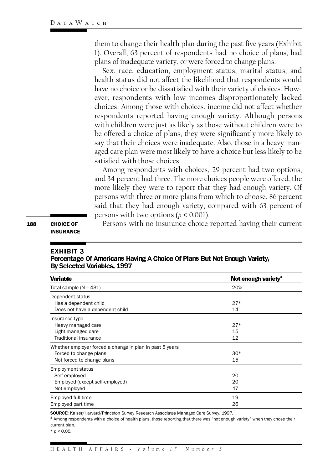them to change their health plan during the past five years (Exhibit 1). Overall, 63 percent of respondents had no choice of plans, had plans of inadequate variety, or were forced to change plans.

Sex, race, education, employment status, marital status, and health status did not affect the likelihood that respondents would have no choice or be dissatisfied with their variety of choices. How ever, respondents with low incomes disproportionately lacked choices. Among those with choices, income did not affect whether respondents reported having enough variety. Although persons with children were just as likely as those without children were to be offered a choice of plans, they were significantly more likely to say that their choices were inadequate. Also, those in a heavy man aged care plan were most likely to have a choice but less likely to be satisfied with those choices.

Among respondents with choices, 29 percent had two options, and 34 percent had three. The more choices people were offered, the more likely they were to report that they had enough variety. Of persons with three or more plans from which to choose, 86 percent said that they had enough variety, compared with 63 percent of persons with two options ( $p < 0.001$ ).

#### 188 CHOICE OF INSURANCE

Persons with no insurance choice reported having their current

#### **EXHIBIT 3** Percentage Of Americans Having A Choice Of Plans But Not Enough Variety, **By Selected Variables, 1997**

| <b>Variable</b>                                          | Not enough variety <sup>2</sup> |
|----------------------------------------------------------|---------------------------------|
| Total sample $(N = 431)$                                 | 20%                             |
| Dependent status                                         |                                 |
| Has a dependent child                                    | $27*$                           |
| Does not have a dependent child                          | 14                              |
| Insurance type                                           |                                 |
| Heavy managed care                                       | $27*$                           |
| Light managed care                                       | 15                              |
| Traditional insurance                                    | 12                              |
| Whether employer forced a change in plan in past 5 years |                                 |
| Forced to change plans                                   | $30*$                           |
| Not forced to change plans                               | 15                              |
| <b>Employment status</b>                                 |                                 |
| Self-employed                                            | 20                              |
| Employed (except self-employed)                          | 20                              |
| Not employed                                             | 17                              |
| Employed full time                                       | 19                              |
| Employed part time                                       | 26                              |

**SOURCE:** Kaiser/Harvard/Princeton Survey Research Associates Managed Care Survey, 1997.<br><sup>a</sup> Among respondents with a choice of health plans, those reporting that there was "not enough variety" when they chose their current plan.

\* *p* < 0.05.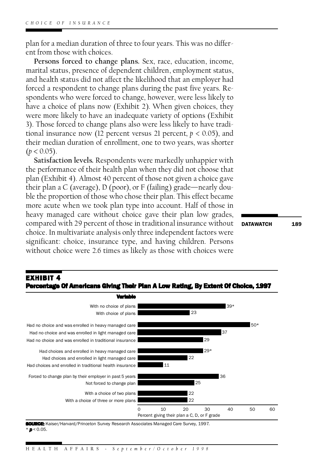plan for a median duration of three to four years. This was no differ ent from those with choices.

**Persons forced to change plans.** Sex, race, education, income, marital status, presence of dependent children, employment status, and health status did not affect the likelihood that an employer had forced a respondent to change plans during the past five years. Re spondents who were forced to change, however, were less likely to have a choice of plans now (Exhibit 2). When given choices, they were more likely to have an inadequate variety of options (Exhibit 3). Those forced to change plans also were less likely to have traditional insurance now (12 percent versus 21 percent,  $p < 0.05$ ), and their median duration of enrollment, one to two years, was shorter  $(p < 0.05)$ .

**Satisfaction levels.** Respondents were markedly unhappier with the performance of their health plan when they did not choose that plan (Exhibit 4). Almost 40 percent of those not given a choice gave their plan a C (average), D (poor), or F (failing) grade—nearly dou ble the proportion of those who chose their plan. This effect became more acute when we took plan type into account. Half of those in heavy managed care without choice gave their plan low grades, compared with 29 percent of those in traditional insurance without choice. In multivariate analysis only three independent factors were significant: choice, insurance type, and having children. Persons without choice were 2.6 times as likely as those with choices were





**E** Kaiser/Harvard/Princeton Survey Research Associates Managed Care Survey, 1997.  $\epsilon$  < 0.05.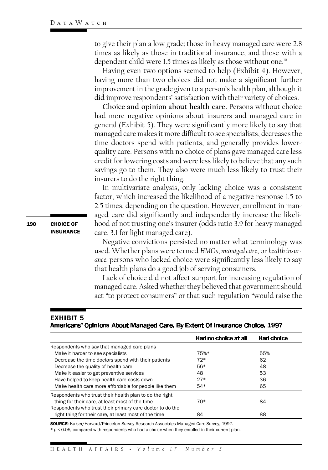to give their plan a low grade; those in heavy managed care were 2.8 times as likely as those in traditional insurance; and those with a dependent child were 1.5 times as likely as those without one. 10

Having even two options seemed to help (Exhibit 4). However, having more than two choices did not make a significant further improvement in the grade given to a person's health plan, although it did improve respondents' satisfaction with their variety of choices.

**Choice and opinion about health care.** Persons without choice had more negative opinions about insurers and managed care in general (Exhibit 5). They were significantly more likely to say that managed care makes it more difficult to see specialists, decreases the time doctors spend with patients, and generally provides lower quality care. Persons with no choice of plans gave managed care less credit for lowering costs and were less likely to believe that any such savings go to them. They also were much less likely to trust their insurers to do the right thing.

In multivariate analysis, only lacking choice was a consistent factor, which increased the likelihood of a negative response 1.5 to 2.5 times, depending on the question. However, enrollment in man aged care did significantly and independently increase the likeli hood of not trusting one's insurer (odds ratio 3.9 for heavy managed care, 3.1 for light managed care).

Negative convictions persisted no matter what terminology was used. Whether plans were termed *HMOs*, *managed care*, or *health insur ance,* persons who lacked choice were significantly less likely to say that health plans do a good job of serving consumers.

Lack of choice did not affect support for increasing regulation of managed care. Asked whether they believed that government should act "to protect consumers" or that such regulation "would raise the

#### **EXHIBIT 5** Americans' Opinions About Managed Care, By Extent Of Insurance Choice, 1997

|                                                           | Had no choice at all | <b>Had choice</b> |
|-----------------------------------------------------------|----------------------|-------------------|
| Respondents who say that managed care plans               |                      |                   |
| Make it harder to see specialists                         | 75%*                 | 55%               |
| Decrease the time doctors spend with their patients       | $72*$                | 62                |
| Decrease the quality of health care                       | 56*                  | 48                |
| Make it easier to get preventive services                 | 48                   | 53                |
| Have helped to keep health care costs down                | $27*$                | 36                |
| Make health care more affordable for people like them     | $54*$                | 65                |
| Respondents who trust their health plan to do the right   |                      |                   |
| thing for their care, at least most of the time           | $70*$                | 84                |
| Respondents who trust their primary care doctor to do the |                      |                   |
| right thing for their care, at least most of the time     | 84                   | 88                |
|                                                           |                      |                   |

SOURCE: Kaiser/Harvard/Princeton Survey Research Associates Managed Care Survey, 1997.

\* *p* < 0.05, compared with respondents who had a choice when they enrolled in their current plan.

190 CHOICE OF INSURANCE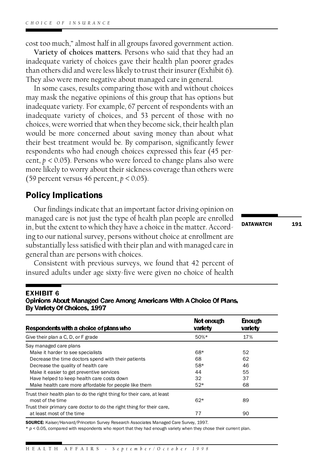cost too much," almost half in all groups favored government action.

**Variety of choices matters.** Persons who said that they had an inadequate variety of choices gave their health plan poorer grades than others did and were less likely to trust their insurer(Exhibit 6). They also were more negative about managed care in general.

In some cases, results comparing those with and without choices may mask the negative opinions of this group that has options but inadequate variety. For example, 67 percent of respondents with an inadequate variety of choices, and 53 percent of those with no choices, were worried that when they become sick, their health plan would be more concerned about saving money than about what their best treatment would be. By comparison, significantly fewer respondents who had enough choices expressed this fear (45 per cent,  $p < 0.05$ ). Persons who were forced to change plans also were more likely to worry about their sickness coverage than others were (59 percent versus 46 percent,  $p < 0.05$ ).

# Policy Implications

Our findings indicate that an important factor driving opinion on managed care is not just the type of health plan people are enrolled in, but the extent to which they have a choice in the matter. According to our national survey, persons without choice at enrollment are substantially less satisfied with their plan and with managed care in general than are persons with choices.

Consistent with previous surveys, we found that 42 percent of insured adults under age sixty-five were given no choice of health

#### **EXHIBIT 6** Opinions About Managed Care Among Americans With A Choice Of Plans,

| <b>PRINCIPLE AND A THE REPORT OF CALCULATION IS A THEFT AND REPORT OF LIGHT</b> |  |  |
|---------------------------------------------------------------------------------|--|--|
| By Variety Of Choices, 1997                                                     |  |  |

| Respondents with a choice of plans who                                                             | Not enough<br>variety | Enough<br>variety |  |
|----------------------------------------------------------------------------------------------------|-----------------------|-------------------|--|
| Give their plan a C, D, or F grade                                                                 | $50%$ *               | 17%               |  |
| Say managed care plans                                                                             |                       |                   |  |
| Make it harder to see specialists                                                                  | 68*                   | 52                |  |
| Decrease the time doctors spend with their patients                                                | 68                    | 62                |  |
| Decrease the quality of health care                                                                | 58*                   | 46                |  |
| Make it easier to get preventive services                                                          | 44                    | 55                |  |
| Have helped to keep health care costs down                                                         | 32                    | 37                |  |
| Make health care more affordable for people like them                                              | $52*$                 | 68                |  |
| Trust their health plan to do the right thing for their care, at least<br>most of the time         | $62*$                 | 89                |  |
| Trust their primary care doctor to do the right thing for their care.<br>at least most of the time | 77                    | 90                |  |

SOURCE: Kaiser/Harvard/Princeton Survey Research Associates Managed Care Survey, 1997.

\* *p* < 0.05, compared with respondents who report that they had enough variety when they chose their current plan.

DATAWATCH 191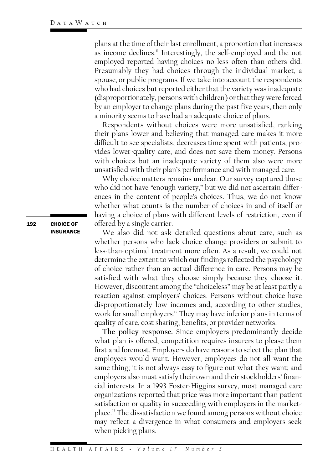plans at the time of their last enrollment, a proportion that increases as income declines. <sup>11</sup> Interestingly, the self-employed and the not employed reported having choices no less often than others did. Presumably they had choices through the individual market, a spouse, or public programs. If we take into account the respondents who had choices but reported either that the variety was inadequate (disproportionately, persons with children) orthat they were forced by an employer to change plans during the past five years, then only a minority seems to have had an adequate choice of plans.

Respondents without choices were more unsatisfied, ranking their plans lower and believing that managed care makes it more difficult to see specialists, decreases time spent with patients, pro vides lower-quality care, and does not save them money. Persons with choices but an inadequate variety of them also were more unsatisfied with their plan's performance and with managed care.

Why choice matters remains unclear. Our survey captured those who did not have "enough variety," but we did not ascertain differ ences in the content of people's choices. Thus, we do not know whether what counts is the number of choices in and of itself or having a choice of plans with different levels of restriction, even if offered by a single carrier.

We also did not ask detailed questions about care, such as whether persons who lack choice change providers or submit to less-than-optimal treatment more often. As a result, we could not determine the extent to which our findings reflected the psychology of choice rather than an actual difference in care. Persons may be satisfied with what they choose simply because they choose it. However, discontent among the "choiceless" may be at least partly a reaction against employers' choices. Persons without choice have disproportionately low incomes and, according to other studies, work for small employers. <sup>12</sup> They may have inferior plans in terms of quality of care, cost sharing, benefits, or provider networks.

**The policy response.** Since employers predominantly decide what plan is offered, competition requires insurers to please them first and foremost. Employers do have reasons to select the plan that employees would want. However, employees do not all want the same thing; it is not always easy to figure out what they want; and employers also must satisfy their own and their stockholders' finan cial interests. In a 1993 Foster-Higgins survey, most managed care organizations reported that price was more important than patient satisfaction or quality in succeeding with employers in the marketplace.<sup>13</sup> The dissatisfaction we found among persons without choice may reflect a divergence in what consumers and employers seek when picking plans.

192 CHOICE OF INSURANCE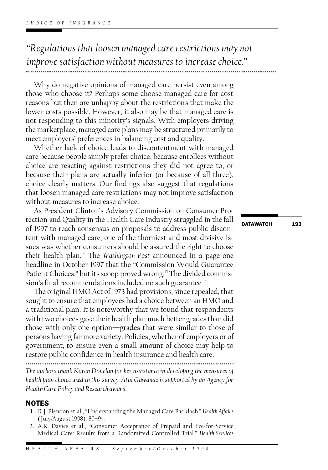# *"Regulations that loosen managed care restrictions may not improve satisfaction without measures to increase choice."*

Why do negative opinions of managed care persist even among those who choose it? Perhaps some choose managed care for cost reasons but then are unhappy about the restrictions that make the lower costs possible. However, it also may be that managed care is not responding to this minority's signals. With employers driving the marketplace, managed care plans may be structured primarily to meet employers' preferences in balancing cost and quality.

Whether lack of choice leads to discontentment with managed care because people simply prefer choice, because enrollees without choice are reacting against restrictions they did not agree to, or because their plans are actually inferior (or because of all three), choice clearly matters. Our findings also suggest that regulations that loosen managed care restrictions may not improve satisfaction without measures to increase choice.

As President Clinton's Advisory Commission on Consumer Protection and Quality in the Health Care Industry struggled in the fall of 1997 to reach consensus on proposals to address public discontent with managed care, one of the thorniest and most divisive is sues was whether consumers should be assured the right to choose their health plan. <sup>14</sup> The *Washington Post* announced in a page-one headline in October 1997 that the "Commission Would Guarantee Patient Choices," but its scoop proved wrong.<sup>15</sup> The divided commission's final recommendations included no such guarantee. 16

The original HMO Act of 1973 had provisions, since repealed, that sought to ensure that employees had a choice between an HMO and a traditional plan. It is noteworthy that we found that respondents with two choices gave their health plan much better grades than did those with only one option—grades that were similar to those of persons having far more variety. Policies, whether of employers or of government, to ensure even a small amount of choice may help to restore public confidence in health insurance and health care.

*The authors thank Karen Donelan for her assistance in developing the measures of health plan choice used in this survey. Atul Gawande is supported by an Agency for HealthCare Policy and Research award.*

#### NOTES

- 1. R.J. Blendon et al., "Understanding the Managed Care Backlash," *HealthAffairs* (July/August 1998): 80–94.
- 2. A.R. Davies et al., "Consumer Acceptance of Prepaid and Fee-for-Service Medical Care: Results from a Randomized Controlled Trial," *Health Services*